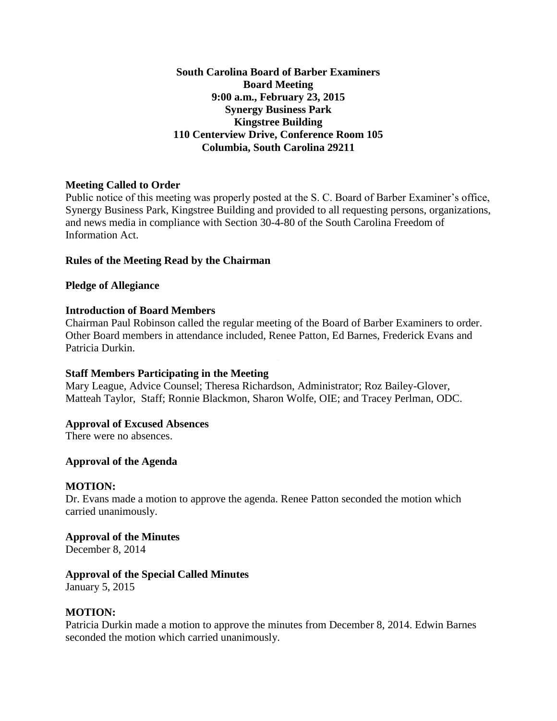**South Carolina Board of Barber Examiners Board Meeting 9:00 a.m., February 23, 2015 Synergy Business Park Kingstree Building 110 Centerview Drive, Conference Room 105 Columbia, South Carolina 29211**

### **Meeting Called to Order**

Public notice of this meeting was properly posted at the S. C. Board of Barber Examiner's office, Synergy Business Park, Kingstree Building and provided to all requesting persons, organizations, and news media in compliance with Section 30-4-80 of the South Carolina Freedom of Information Act.

### **Rules of the Meeting Read by the Chairman**

### **Pledge of Allegiance**

### **Introduction of Board Members**

Chairman Paul Robinson called the regular meeting of the Board of Barber Examiners to order. Other Board members in attendance included, Renee Patton, Ed Barnes, Frederick Evans and Patricia Durkin.

# **Staff Members Participating in the Meeting**

Mary League, Advice Counsel; Theresa Richardson, Administrator; Roz Bailey-Glover, Matteah Taylor, Staff; Ronnie Blackmon, Sharon Wolfe, OIE; and Tracey Perlman, ODC.

### **Approval of Excused Absences**

There were no absences.

### **Approval of the Agenda**

### **MOTION:**

Dr. Evans made a motion to approve the agenda. Renee Patton seconded the motion which carried unanimously.

# **Approval of the Minutes**

December 8, 2014

# **Approval of the Special Called Minutes**

January 5, 2015

### **MOTION:**

Patricia Durkin made a motion to approve the minutes from December 8, 2014. Edwin Barnes seconded the motion which carried unanimously.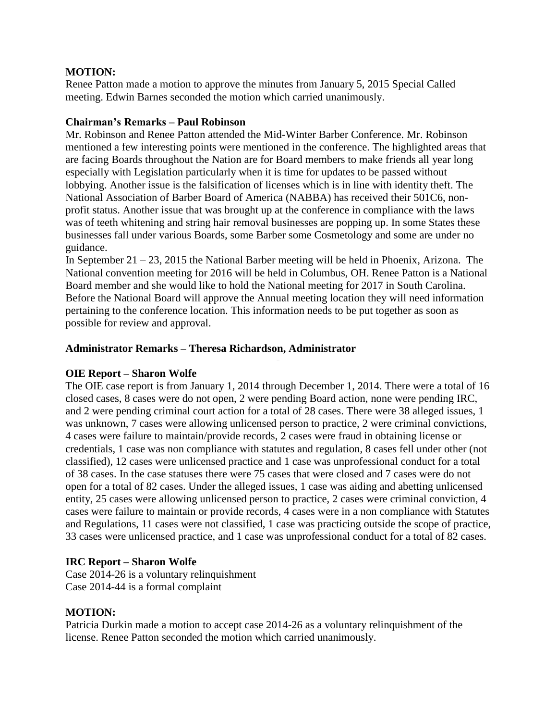### **MOTION:**

Renee Patton made a motion to approve the minutes from January 5, 2015 Special Called meeting. Edwin Barnes seconded the motion which carried unanimously.

### **Chairman's Remarks – Paul Robinson**

Mr. Robinson and Renee Patton attended the Mid-Winter Barber Conference. Mr. Robinson mentioned a few interesting points were mentioned in the conference. The highlighted areas that are facing Boards throughout the Nation are for Board members to make friends all year long especially with Legislation particularly when it is time for updates to be passed without lobbying. Another issue is the falsification of licenses which is in line with identity theft. The National Association of Barber Board of America (NABBA) has received their 501C6, nonprofit status. Another issue that was brought up at the conference in compliance with the laws was of teeth whitening and string hair removal businesses are popping up. In some States these businesses fall under various Boards, some Barber some Cosmetology and some are under no guidance.

In September  $21 - 23$ , 2015 the National Barber meeting will be held in Phoenix, Arizona. The National convention meeting for 2016 will be held in Columbus, OH. Renee Patton is a National Board member and she would like to hold the National meeting for 2017 in South Carolina. Before the National Board will approve the Annual meeting location they will need information pertaining to the conference location. This information needs to be put together as soon as possible for review and approval.

### **Administrator Remarks – Theresa Richardson, Administrator**

### **OIE Report – Sharon Wolfe**

The OIE case report is from January 1, 2014 through December 1, 2014. There were a total of 16 closed cases, 8 cases were do not open, 2 were pending Board action, none were pending IRC, and 2 were pending criminal court action for a total of 28 cases. There were 38 alleged issues, 1 was unknown, 7 cases were allowing unlicensed person to practice, 2 were criminal convictions, 4 cases were failure to maintain/provide records, 2 cases were fraud in obtaining license or credentials, 1 case was non compliance with statutes and regulation, 8 cases fell under other (not classified), 12 cases were unlicensed practice and 1 case was unprofessional conduct for a total of 38 cases. In the case statuses there were 75 cases that were closed and 7 cases were do not open for a total of 82 cases. Under the alleged issues, 1 case was aiding and abetting unlicensed entity, 25 cases were allowing unlicensed person to practice, 2 cases were criminal conviction, 4 cases were failure to maintain or provide records, 4 cases were in a non compliance with Statutes and Regulations, 11 cases were not classified, 1 case was practicing outside the scope of practice, 33 cases were unlicensed practice, and 1 case was unprofessional conduct for a total of 82 cases.

# **IRC Report – Sharon Wolfe**

Case 2014-26 is a voluntary relinquishment Case 2014-44 is a formal complaint

# **MOTION:**

Patricia Durkin made a motion to accept case 2014-26 as a voluntary relinquishment of the license. Renee Patton seconded the motion which carried unanimously.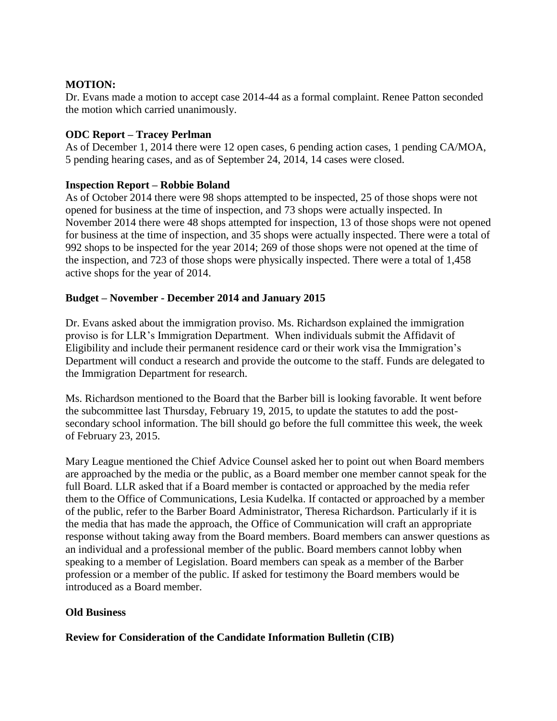### **MOTION:**

Dr. Evans made a motion to accept case 2014-44 as a formal complaint. Renee Patton seconded the motion which carried unanimously.

### **ODC Report – Tracey Perlman**

As of December 1, 2014 there were 12 open cases, 6 pending action cases, 1 pending CA/MOA, 5 pending hearing cases, and as of September 24, 2014, 14 cases were closed.

### **Inspection Report – Robbie Boland**

As of October 2014 there were 98 shops attempted to be inspected, 25 of those shops were not opened for business at the time of inspection, and 73 shops were actually inspected. In November 2014 there were 48 shops attempted for inspection, 13 of those shops were not opened for business at the time of inspection, and 35 shops were actually inspected. There were a total of 992 shops to be inspected for the year 2014; 269 of those shops were not opened at the time of the inspection, and 723 of those shops were physically inspected. There were a total of 1,458 active shops for the year of 2014.

### **Budget – November - December 2014 and January 2015**

Department will conduct a research and provide the outcome to the staff. Funds are delegated to Dr. Evans asked about the immigration proviso. Ms. Richardson explained the immigration proviso is for LLR's Immigration Department. When individuals submit the Affidavit of Eligibility and include their permanent residence card or their work visa the Immigration's the Immigration Department for research.

Ms. Richardson mentioned to the Board that the Barber bill is looking favorable. It went before the subcommittee last Thursday, February 19, 2015, to update the statutes to add the postsecondary school information. The bill should go before the full committee this week, the week of February 23, 2015.

Mary League mentioned the Chief Advice Counsel asked her to point out when Board members are approached by the media or the public, as a Board member one member cannot speak for the full Board. LLR asked that if a Board member is contacted or approached by the media refer them to the Office of Communications, Lesia Kudelka. If contacted or approached by a member of the public, refer to the Barber Board Administrator, Theresa Richardson. Particularly if it is the media that has made the approach, the Office of Communication will craft an appropriate response without taking away from the Board members. Board members can answer questions as an individual and a professional member of the public. Board members cannot lobby when speaking to a member of Legislation. Board members can speak as a member of the Barber profession or a member of the public. If asked for testimony the Board members would be introduced as a Board member.

# **Old Business**

**Review for Consideration of the Candidate Information Bulletin (CIB)**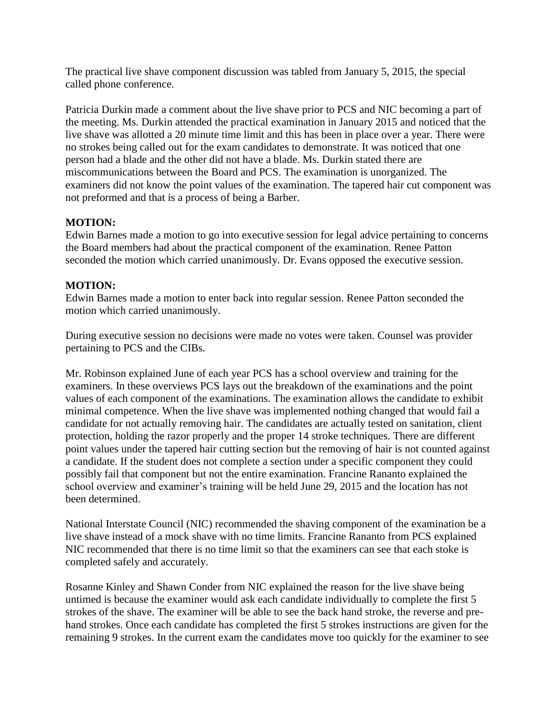The practical live shave component discussion was tabled from January 5, 2015, the special called phone conference.

Patricia Durkin made a comment about the live shave prior to PCS and NIC becoming a part of the meeting. Ms. Durkin attended the practical examination in January 2015 and noticed that the live shave was allotted a 20 minute time limit and this has been in place over a year. There were no strokes being called out for the exam candidates to demonstrate. It was noticed that one person had a blade and the other did not have a blade. Ms. Durkin stated there are miscommunications between the Board and PCS. The examination is unorganized. The examiners did not know the point values of the examination. The tapered hair cut component was not preformed and that is a process of being a Barber.

# **MOTION:**

Edwin Barnes made a motion to go into executive session for legal advice pertaining to concerns the Board members had about the practical component of the examination. Renee Patton seconded the motion which carried unanimously. Dr. Evans opposed the executive session.

# **MOTION:**

Edwin Barnes made a motion to enter back into regular session. Renee Patton seconded the motion which carried unanimously.

During executive session no decisions were made no votes were taken. Counsel was provider pertaining to PCS and the CIBs.

Mr. Robinson explained June of each year PCS has a school overview and training for the examiners. In these overviews PCS lays out the breakdown of the examinations and the point values of each component of the examinations. The examination allows the candidate to exhibit minimal competence. When the live shave was implemented nothing changed that would fail a candidate for not actually removing hair. The candidates are actually tested on sanitation, client protection, holding the razor properly and the proper 14 stroke techniques. There are different point values under the tapered hair cutting section but the removing of hair is not counted against a candidate. If the student does not complete a section under a specific component they could possibly fail that component but not the entire examination. Francine Rananto explained the school overview and examiner's training will be held June 29, 2015 and the location has not been determined.

National Interstate Council (NIC) recommended the shaving component of the examination be a live shave instead of a mock shave with no time limits. Francine Rananto from PCS explained NIC recommended that there is no time limit so that the examiners can see that each stoke is completed safely and accurately.

Rosanne Kinley and Shawn Conder from NIC explained the reason for the live shave being untimed is because the examiner would ask each candidate individually to complete the first 5 strokes of the shave. The examiner will be able to see the back hand stroke, the reverse and prehand strokes. Once each candidate has completed the first 5 strokes instructions are given for the remaining 9 strokes. In the current exam the candidates move too quickly for the examiner to see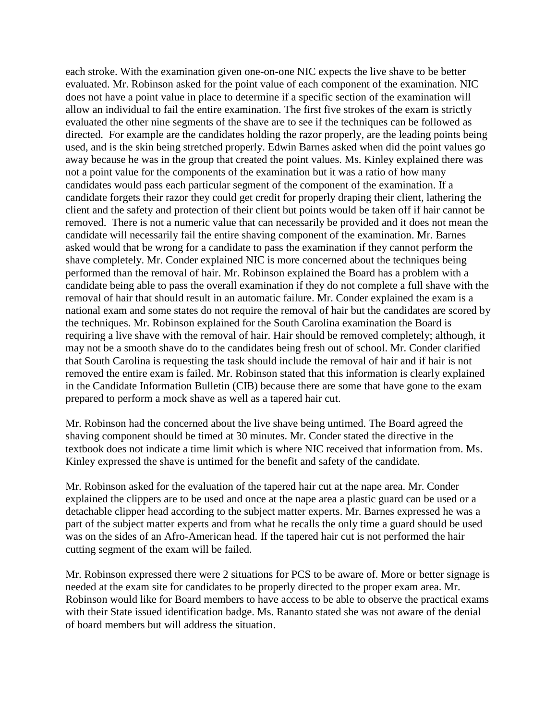that South Carolina is requesting the task should include the removal of hair and if hair is not each stroke. With the examination given one-on-one NIC expects the live shave to be better evaluated. Mr. Robinson asked for the point value of each component of the examination. NIC does not have a point value in place to determine if a specific section of the examination will allow an individual to fail the entire examination. The first five strokes of the exam is strictly evaluated the other nine segments of the shave are to see if the techniques can be followed as directed. For example are the candidates holding the razor properly, are the leading points being used, and is the skin being stretched properly. Edwin Barnes asked when did the point values go away because he was in the group that created the point values. Ms. Kinley explained there was not a point value for the components of the examination but it was a ratio of how many candidates would pass each particular segment of the component of the examination. If a candidate forgets their razor they could get credit for properly draping their client, lathering the client and the safety and protection of their client but points would be taken off if hair cannot be removed. There is not a numeric value that can necessarily be provided and it does not mean the candidate will necessarily fail the entire shaving component of the examination. Mr. Barnes asked would that be wrong for a candidate to pass the examination if they cannot perform the shave completely. Mr. Conder explained NIC is more concerned about the techniques being performed than the removal of hair. Mr. Robinson explained the Board has a problem with a candidate being able to pass the overall examination if they do not complete a full shave with the removal of hair that should result in an automatic failure. Mr. Conder explained the exam is a national exam and some states do not require the removal of hair but the candidates are scored by the techniques. Mr. Robinson explained for the South Carolina examination the Board is requiring a live shave with the removal of hair. Hair should be removed completely; although, it may not be a smooth shave do to the candidates being fresh out of school. Mr. Conder clarified removed the entire exam is failed. Mr. Robinson stated that this information is clearly explained in the Candidate Information Bulletin (CIB) because there are some that have gone to the exam prepared to perform a mock shave as well as a tapered hair cut.

Mr. Robinson had the concerned about the live shave being untimed. The Board agreed the shaving component should be timed at 30 minutes. Mr. Conder stated the directive in the textbook does not indicate a time limit which is where NIC received that information from. Ms. Kinley expressed the shave is untimed for the benefit and safety of the candidate.

Mr. Robinson asked for the evaluation of the tapered hair cut at the nape area. Mr. Conder explained the clippers are to be used and once at the nape area a plastic guard can be used or a detachable clipper head according to the subject matter experts. Mr. Barnes expressed he was a part of the subject matter experts and from what he recalls the only time a guard should be used was on the sides of an Afro-American head. If the tapered hair cut is not performed the hair cutting segment of the exam will be failed.

Mr. Robinson expressed there were 2 situations for PCS to be aware of. More or better signage is needed at the exam site for candidates to be properly directed to the proper exam area. Mr. Robinson would like for Board members to have access to be able to observe the practical exams with their State issued identification badge. Ms. Rananto stated she was not aware of the denial of board members but will address the situation.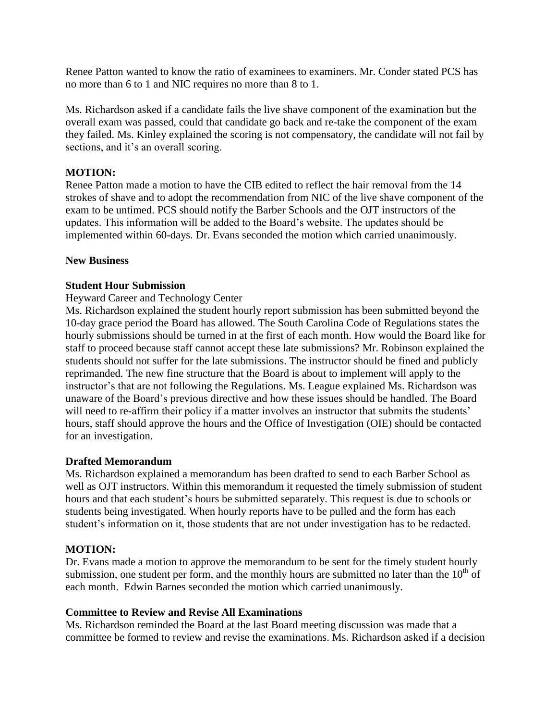Renee Patton wanted to know the ratio of examinees to examiners. Mr. Conder stated PCS has no more than 6 to 1 and NIC requires no more than 8 to 1.

Ms. Richardson asked if a candidate fails the live shave component of the examination but the overall exam was passed, could that candidate go back and re-take the component of the exam they failed. Ms. Kinley explained the scoring is not compensatory, the candidate will not fail by sections, and it's an overall scoring.

### **MOTION:**

Renee Patton made a motion to have the CIB edited to reflect the hair removal from the 14 strokes of shave and to adopt the recommendation from NIC of the live shave component of the exam to be untimed. PCS should notify the Barber Schools and the OJT instructors of the updates. This information will be added to the Board's website. The updates should be implemented within 60-days. Dr. Evans seconded the motion which carried unanimously.

### **New Business**

### **Student Hour Submission**

#### Heyward Career and Technology Center

students should not suffer for the late submissions. The instructor should be fined and publicly Ms. Richardson explained the student hourly report submission has been submitted beyond the 10-day grace period the Board has allowed. The South Carolina Code of Regulations states the hourly submissions should be turned in at the first of each month. How would the Board like for staff to proceed because staff cannot accept these late submissions? Mr. Robinson explained the reprimanded. The new fine structure that the Board is about to implement will apply to the instructor's that are not following the Regulations. Ms. League explained Ms. Richardson was unaware of the Board's previous directive and how these issues should be handled. The Board will need to re-affirm their policy if a matter involves an instructor that submits the students' hours, staff should approve the hours and the Office of Investigation (OIE) should be contacted for an investigation.

### **Drafted Memorandum**

Ms. Richardson explained a memorandum has been drafted to send to each Barber School as well as OJT instructors. Within this memorandum it requested the timely submission of student hours and that each student's hours be submitted separately. This request is due to schools or students being investigated. When hourly reports have to be pulled and the form has each student's information on it, those students that are not under investigation has to be redacted.

### **MOTION:**

Dr. Evans made a motion to approve the memorandum to be sent for the timely student hourly submission, one student per form, and the monthly hours are submitted no later than the  $10<sup>th</sup>$  of each month. Edwin Barnes seconded the motion which carried unanimously.

### **Committee to Review and Revise All Examinations**

Ms. Richardson reminded the Board at the last Board meeting discussion was made that a committee be formed to review and revise the examinations. Ms. Richardson asked if a decision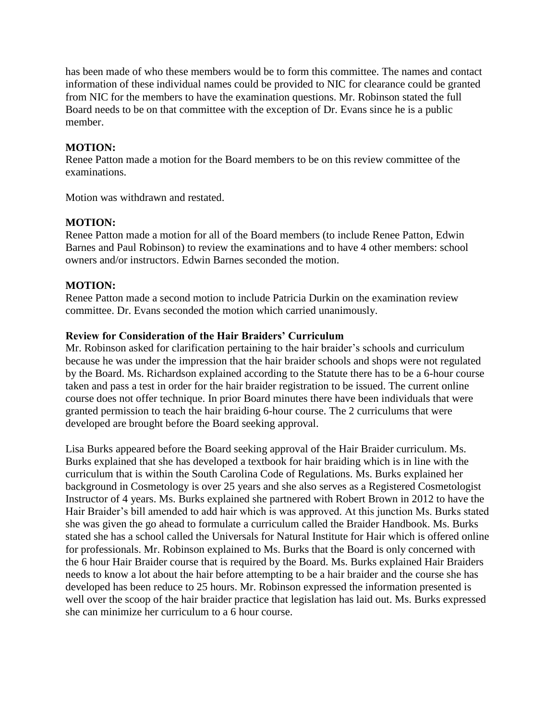has been made of who these members would be to form this committee. The names and contact information of these individual names could be provided to NIC for clearance could be granted from NIC for the members to have the examination questions. Mr. Robinson stated the full Board needs to be on that committee with the exception of Dr. Evans since he is a public member.

# **MOTION:**

Renee Patton made a motion for the Board members to be on this review committee of the examinations.

Motion was withdrawn and restated.

# **MOTION:**

Renee Patton made a motion for all of the Board members (to include Renee Patton, Edwin Barnes and Paul Robinson) to review the examinations and to have 4 other members: school owners and/or instructors. Edwin Barnes seconded the motion.

# **MOTION:**

Renee Patton made a second motion to include Patricia Durkin on the examination review committee. Dr. Evans seconded the motion which carried unanimously.

# **Review for Consideration of the Hair Braiders' Curriculum**

because he was under the impression that the hair braider schools and shops were not regulated Mr. Robinson asked for clarification pertaining to the hair braider's schools and curriculum by the Board. Ms. Richardson explained according to the Statute there has to be a 6-hour course taken and pass a test in order for the hair braider registration to be issued. The current online course does not offer technique. In prior Board minutes there have been individuals that were granted permission to teach the hair braiding 6-hour course. The 2 curriculums that were developed are brought before the Board seeking approval.

Lisa Burks appeared before the Board seeking approval of the Hair Braider curriculum. Ms. Burks explained that she has developed a textbook for hair braiding which is in line with the curriculum that is within the South Carolina Code of Regulations. Ms. Burks explained her background in Cosmetology is over 25 years and she also serves as a Registered Cosmetologist Instructor of 4 years. Ms. Burks explained she partnered with Robert Brown in 2012 to have the Hair Braider's bill amended to add hair which is was approved. At this junction Ms. Burks stated she was given the go ahead to formulate a curriculum called the Braider Handbook. Ms. Burks stated she has a school called the Universals for Natural Institute for Hair which is offered online for professionals. Mr. Robinson explained to Ms. Burks that the Board is only concerned with the 6 hour Hair Braider course that is required by the Board. Ms. Burks explained Hair Braiders needs to know a lot about the hair before attempting to be a hair braider and the course she has developed has been reduce to 25 hours. Mr. Robinson expressed the information presented is well over the scoop of the hair braider practice that legislation has laid out. Ms. Burks expressed she can minimize her curriculum to a 6 hour course.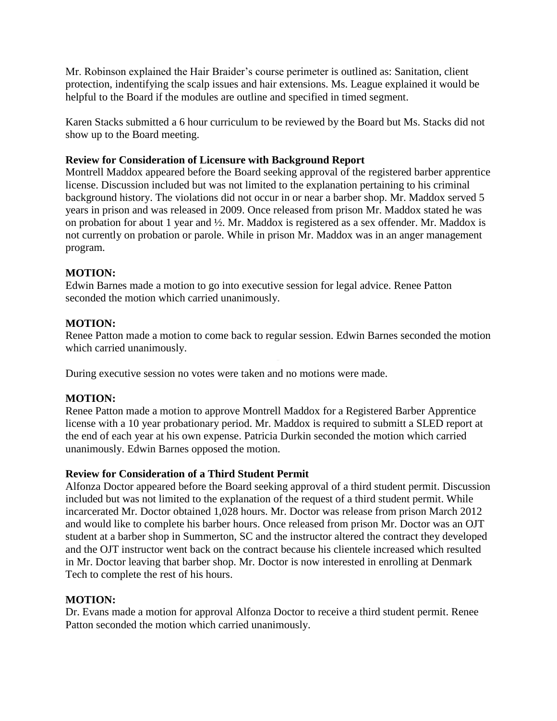Mr. Robinson explained the Hair Braider's course perimeter is outlined as: Sanitation, client protection, indentifying the scalp issues and hair extensions. Ms. League explained it would be helpful to the Board if the modules are outline and specified in timed segment.

Karen Stacks submitted a 6 hour curriculum to be reviewed by the Board but Ms. Stacks did not show up to the Board meeting.

### **Review for Consideration of Licensure with Background Report**

Montrell Maddox appeared before the Board seeking approval of the registered barber apprentice license. Discussion included but was not limited to the explanation pertaining to his criminal background history. The violations did not occur in or near a barber shop. Mr. Maddox served 5 years in prison and was released in 2009. Once released from prison Mr. Maddox stated he was on probation for about 1 year and ½. Mr. Maddox is registered as a sex offender. Mr. Maddox is not currently on probation or parole. While in prison Mr. Maddox was in an anger management program.

# **MOTION:**

Edwin Barnes made a motion to go into executive session for legal advice. Renee Patton seconded the motion which carried unanimously.

# **MOTION:**

Renee Patton made a motion to come back to regular session. Edwin Barnes seconded the motion which carried unanimously.

During executive session no votes were taken and no motions were made.

# **MOTION:**

Renee Patton made a motion to approve Montrell Maddox for a Registered Barber Apprentice license with a 10 year probationary period. Mr. Maddox is required to submitt a SLED report at the end of each year at his own expense. Patricia Durkin seconded the motion which carried unanimously. Edwin Barnes opposed the motion.

# **Review for Consideration of a Third Student Permit**

Alfonza Doctor appeared before the Board seeking approval of a third student permit. Discussion included but was not limited to the explanation of the request of a third student permit. While incarcerated Mr. Doctor obtained 1,028 hours. Mr. Doctor was release from prison March 2012 and would like to complete his barber hours. Once released from prison Mr. Doctor was an OJT student at a barber shop in Summerton, SC and the instructor altered the contract they developed and the OJT instructor went back on the contract because his clientele increased which resulted in Mr. Doctor leaving that barber shop. Mr. Doctor is now interested in enrolling at Denmark Tech to complete the rest of his hours.

# **MOTION:**

Dr. Evans made a motion for approval Alfonza Doctor to receive a third student permit. Renee Patton seconded the motion which carried unanimously.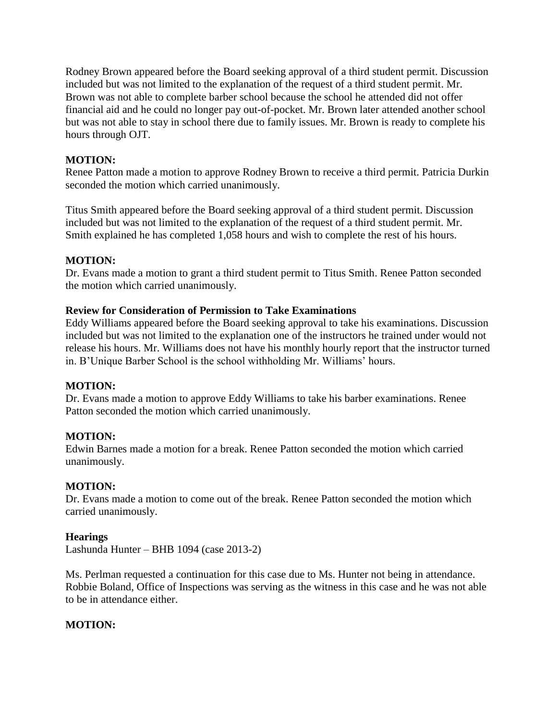Rodney Brown appeared before the Board seeking approval of a third student permit. Discussion included but was not limited to the explanation of the request of a third student permit. Mr. Brown was not able to complete barber school because the school he attended did not offer financial aid and he could no longer pay out-of-pocket. Mr. Brown later attended another school but was not able to stay in school there due to family issues. Mr. Brown is ready to complete his hours through OJT.

# **MOTION:**

Renee Patton made a motion to approve Rodney Brown to receive a third permit. Patricia Durkin seconded the motion which carried unanimously.

Titus Smith appeared before the Board seeking approval of a third student permit. Discussion included but was not limited to the explanation of the request of a third student permit. Mr. Smith explained he has completed 1,058 hours and wish to complete the rest of his hours.

# **MOTION:**

Dr. Evans made a motion to grant a third student permit to Titus Smith. Renee Patton seconded the motion which carried unanimously.

### **Review for Consideration of Permission to Take Examinations**

in. B'Unique Barber School is the school withholding Mr. Williams' hours. Eddy Williams appeared before the Board seeking approval to take his examinations. Discussion included but was not limited to the explanation one of the instructors he trained under would not release his hours. Mr. Williams does not have his monthly hourly report that the instructor turned

# **MOTION:**

Dr. Evans made a motion to approve Eddy Williams to take his barber examinations. Renee Patton seconded the motion which carried unanimously.

# **MOTION:**

Edwin Barnes made a motion for a break. Renee Patton seconded the motion which carried unanimously.

### **MOTION:**

Dr. Evans made a motion to come out of the break. Renee Patton seconded the motion which carried unanimously.

# **Hearings**

Lashunda Hunter – BHB 1094 (case 2013-2)

Ms. Perlman requested a continuation for this case due to Ms. Hunter not being in attendance. Robbie Boland, Office of Inspections was serving as the witness in this case and he was not able to be in attendance either.

# **MOTION:**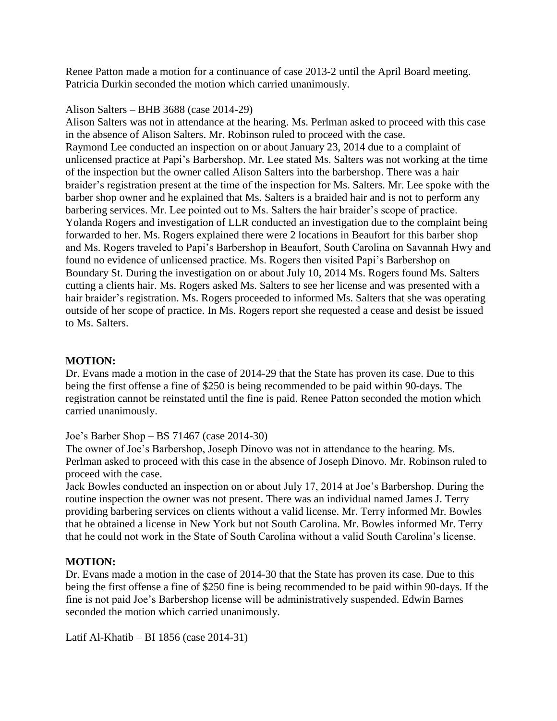Renee Patton made a motion for a continuance of case 2013-2 until the April Board meeting. Patricia Durkin seconded the motion which carried unanimously.

### Alison Salters – BHB 3688 (case 2014-29)

Alison Salters was not in attendance at the hearing. Ms. Perlman asked to proceed with this case in the absence of Alison Salters. Mr. Robinson ruled to proceed with the case. Raymond Lee conducted an inspection on or about January 23, 2014 due to a complaint of unlicensed practice at Papi's Barbershop. Mr. Lee stated Ms. Salters was not working at the time of the inspection but the owner called Alison Salters into the barbershop. There was a hair braider's registration present at the time of the inspection for Ms. Salters. Mr. Lee spoke with the barber shop owner and he explained that Ms. Salters is a braided hair and is not to perform any barbering services. Mr. Lee pointed out to Ms. Salters the hair braider's scope of practice. Yolanda Rogers and investigation of LLR conducted an investigation due to the complaint being forwarded to her. Ms. Rogers explained there were 2 locations in Beaufort for this barber shop and Ms. Rogers traveled to Papi's Barbershop in Beaufort, South Carolina on Savannah Hwy and found no evidence of unlicensed practice. Ms. Rogers then visited Papi's Barbershop on Boundary St. During the investigation on or about July 10, 2014 Ms. Rogers found Ms. Salters cutting a clients hair. Ms. Rogers asked Ms. Salters to see her license and was presented with a hair braider's registration. Ms. Rogers proceeded to informed Ms. Salters that she was operating outside of her scope of practice. In Ms. Rogers report she requested a cease and desist be issued to Ms. Salters.

# **MOTION:**

Dr. Evans made a motion in the case of 2014-29 that the State has proven its case. Due to this being the first offense a fine of \$250 is being recommended to be paid within 90-days. The registration cannot be reinstated until the fine is paid. Renee Patton seconded the motion which carried unanimously.

### Joe's Barber Shop – BS 71467 (case 2014-30)

The owner of Joe's Barbershop, Joseph Dinovo was not in attendance to the hearing. Ms. Perlman asked to proceed with this case in the absence of Joseph Dinovo. Mr. Robinson ruled to proceed with the case.

Jack Bowles conducted an inspection on or about July 17, 2014 at Joe's Barbershop. During the routine inspection the owner was not present. There was an individual named James J. Terry providing barbering services on clients without a valid license. Mr. Terry informed Mr. Bowles that he obtained a license in New York but not South Carolina. Mr. Bowles informed Mr. Terry that he could not work in the State of South Carolina without a valid South Carolina's license.

# **MOTION:**

Dr. Evans made a motion in the case of 2014-30 that the State has proven its case. Due to this being the first offense a fine of \$250 fine is being recommended to be paid within 90-days. If the fine is not paid Joe's Barbershop license will be administratively suspended. Edwin Barnes seconded the motion which carried unanimously.

Latif Al-Khatib – BI 1856 (case 2014-31)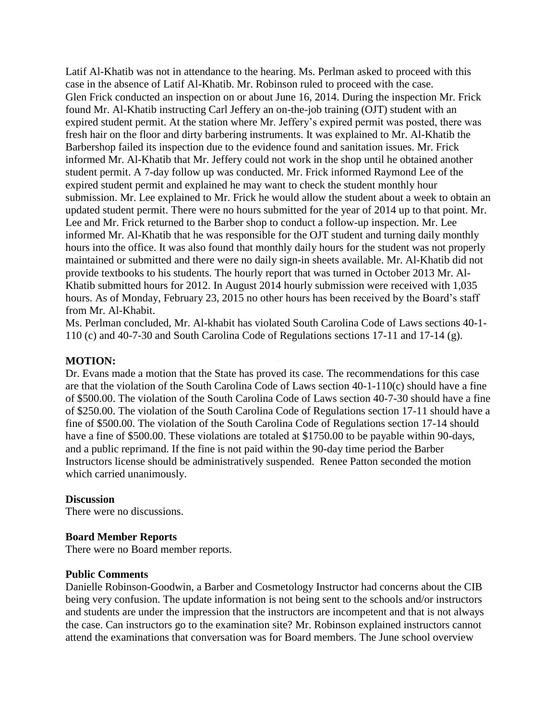Latif Al-Khatib was not in attendance to the hearing. Ms. Perlman asked to proceed with this case in the absence of Latif Al-Khatib. Mr. Robinson ruled to proceed with the case. Glen Frick conducted an inspection on or about June 16, 2014. During the inspection Mr. Frick found Mr. Al-Khatib instructing Carl Jeffery an on-the-job training (OJT) student with an expired student permit. At the station where Mr. Jeffery's expired permit was posted, there was fresh hair on the floor and dirty barbering instruments. It was explained to Mr. Al-Khatib the Barbershop failed its inspection due to the evidence found and sanitation issues. Mr. Frick informed Mr. Al-Khatib that Mr. Jeffery could not work in the shop until he obtained another student permit. A 7-day follow up was conducted. Mr. Frick informed Raymond Lee of the expired student permit and explained he may want to check the student monthly hour submission. Mr. Lee explained to Mr. Frick he would allow the student about a week to obtain an updated student permit. There were no hours submitted for the year of 2014 up to that point. Mr. Lee and Mr. Frick returned to the Barber shop to conduct a follow-up inspection. Mr. Lee informed Mr. Al-Khatib that he was responsible for the OJT student and turning daily monthly hours into the office. It was also found that monthly daily hours for the student was not properly maintained or submitted and there were no daily sign-in sheets available. Mr. Al-Khatib did not provide textbooks to his students. The hourly report that was turned in October 2013 Mr. Al-Khatib submitted hours for 2012. In August 2014 hourly submission were received with 1,035 hours. As of Monday, February 23, 2015 no other hours has been received by the Board's staff from Mr. Al-Khabit.

Ms. Perlman concluded, Mr. Al-khabit has violated South Carolina Code of Laws sections 40-1- 110 (c) and 40-7-30 and South Carolina Code of Regulations sections 17-11 and 17-14 (g).

#### **MOTION:**

Dr. Evans made a motion that the State has proved its case. The recommendations for this case are that the violation of the South Carolina Code of Laws section 40-1-110(c) should have a fine of \$500.00. The violation of the South Carolina Code of Laws section 40-7-30 should have a fine of \$250.00. The violation of the South Carolina Code of Regulations section 17-11 should have a fine of \$500.00. The violation of the South Carolina Code of Regulations section 17-14 should have a fine of \$500.00. These violations are totaled at \$1750.00 to be payable within 90-days, and a public reprimand. If the fine is not paid within the 90-day time period the Barber Instructors license should be administratively suspended. Renee Patton seconded the motion which carried unanimously.

#### **Discussion**

There were no discussions.

#### **Board Member Reports**

There were no Board member reports.

#### **Public Comments**

Danielle Robinson-Goodwin, a Barber and Cosmetology Instructor had concerns about the CIB being very confusion. The update information is not being sent to the schools and/or instructors and students are under the impression that the instructors are incompetent and that is not always the case. Can instructors go to the examination site? Mr. Robinson explained instructors cannot attend the examinations that conversation was for Board members. The June school overview